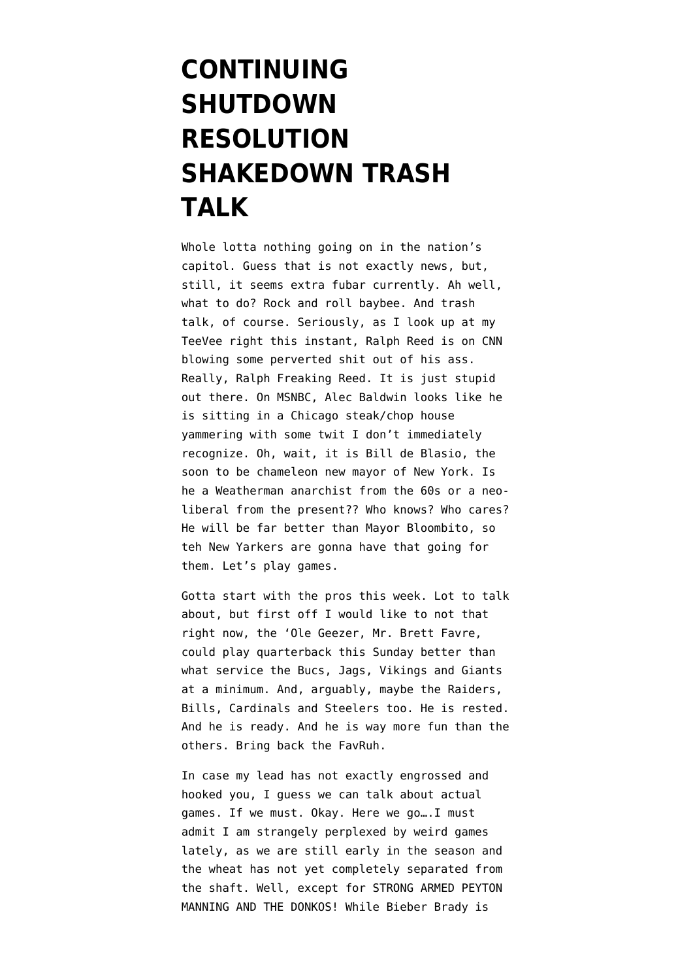## **[CONTINUING](https://www.emptywheel.net/2013/10/12/continuing-shutdown-resolution-shakedown-trash-talk/) [SHUTDOWN](https://www.emptywheel.net/2013/10/12/continuing-shutdown-resolution-shakedown-trash-talk/) [RESOLUTION](https://www.emptywheel.net/2013/10/12/continuing-shutdown-resolution-shakedown-trash-talk/) [SHAKEDOWN TRASH](https://www.emptywheel.net/2013/10/12/continuing-shutdown-resolution-shakedown-trash-talk/) [TALK](https://www.emptywheel.net/2013/10/12/continuing-shutdown-resolution-shakedown-trash-talk/)**

Whole lotta nothing going on in the nation's capitol. Guess that is not exactly news, but, still, it seems extra fubar currently. Ah well, what to do? Rock and roll baybee. And trash talk, of course. Seriously, as I look up at my TeeVee right this instant, Ralph Reed is on CNN blowing some perverted shit out of his ass. Really, Ralph Freaking Reed. It is just stupid out there. On MSNBC, Alec Baldwin looks like he is sitting in a Chicago steak/chop house yammering with some twit I don't immediately recognize. Oh, wait, it is Bill de Blasio, the soon to be chameleon new mayor of New York. Is he a Weatherman anarchist from the 60s or a neoliberal from the present?? Who knows? Who cares? He will be far better than Mayor Bloombito, so teh New Yarkers are gonna have that going for them. [Let's play games](http://www.youtube.com/watch?v=ecPeSmF_ikc).

Gotta start with the pros this week. Lot to talk about, but first off I would like to not that right now, the 'Ole Geezer, Mr. Brett Favre, could play quarterback this Sunday better than what service the Bucs, Jags, Vikings and Giants at a minimum. And, arguably, maybe the Raiders, Bills, Cardinals and Steelers too. He is rested. And he is ready. And he is way more fun than the others. Bring back the FavRuh.

In case my lead has not exactly engrossed and hooked you, I guess we can talk about actual games. If we must. Okay. Here we go….I must admit I am strangely perplexed by weird games lately, as we are still early in the season and the wheat has not yet completely separated from the shaft. Well, except for STRONG ARMED PEYTON MANNING AND THE DONKOS! While Bieber Brady is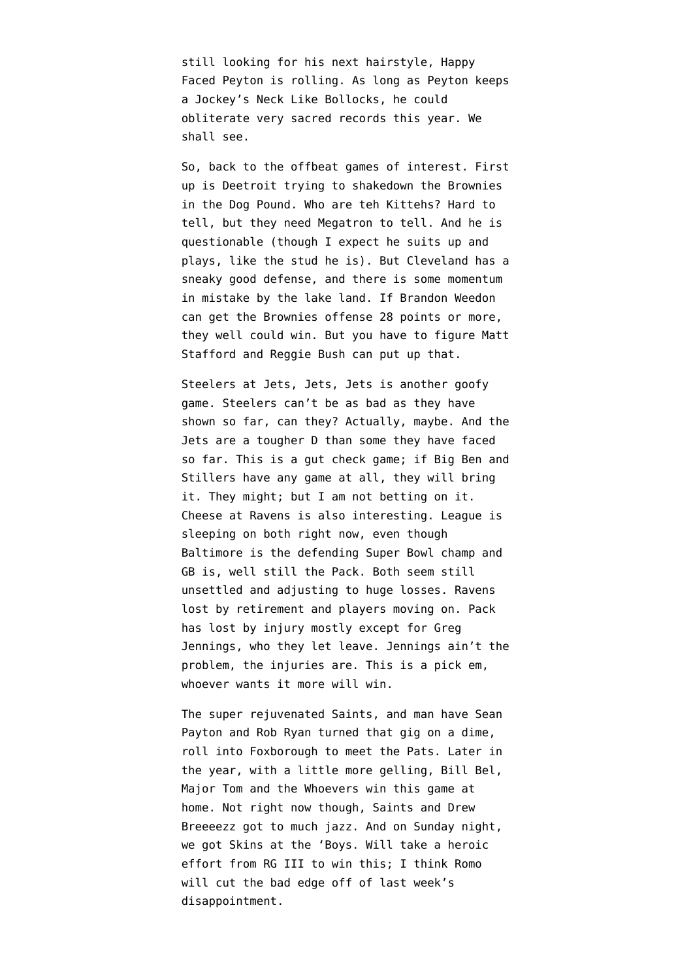still looking for his next hairstyle, Happy Faced Peyton is rolling. As long as Peyton keeps a [Jockey's Neck Like Bollocks](http://www.emptywheel.net/2012/08/25/with-a-neck-like-a-jockeys-bollocks-trash-talk/), he could obliterate very sacred records this year. We shall see.

So, back to the offbeat games of interest. First up is Deetroit trying to shakedown the Brownies in the Dog Pound. Who are teh Kittehs? Hard to tell, but they need Megatron to tell. And [he is](http://www.usatoday.com/story/sports/nfl/lions/2013/10/10/calvin-johnson-lions/2959581/) [questionable](http://www.usatoday.com/story/sports/nfl/lions/2013/10/10/calvin-johnson-lions/2959581/) (though I expect he suits up and plays, like the stud he is). But Cleveland has a sneaky good defense, and there is some momentum in mistake by the lake land. If Brandon Weedon can get the Brownies offense 28 points or more, they well could win. But you have to figure Matt Stafford and Reggie Bush can put up that.

Steelers at Jets, Jets, Jets is another goofy game. Steelers can't be as bad as they have shown so far, can they? Actually, maybe. And the Jets are a tougher D than some they have faced so far. This is a gut check game; if Big Ben and Stillers have any game at all, they will bring it. They might; but I am not betting on it. Cheese at Ravens is also interesting. League is sleeping on both right now, even though Baltimore is the defending Super Bowl champ and GB is, well still the Pack. Both seem still unsettled and adjusting to huge losses. Ravens lost by retirement and players moving on. Pack has lost by injury mostly except for Greg Jennings, who they let leave. Jennings ain't the problem, the injuries are. This is a pick em, whoever wants it more will win.

The super rejuvenated Saints, and man have Sean Payton and Rob Ryan turned that gig on a dime, roll into Foxborough to meet the Pats. Later in the year, with a little more gelling, Bill Bel, Major Tom and the Whoevers win this game at home. Not right now though, Saints and Drew Breeeezz got to much jazz. And on Sunday night, we got Skins at the 'Boys. Will take a heroic effort from RG III to win this; I think Romo will cut the bad edge off of last week's disappointment.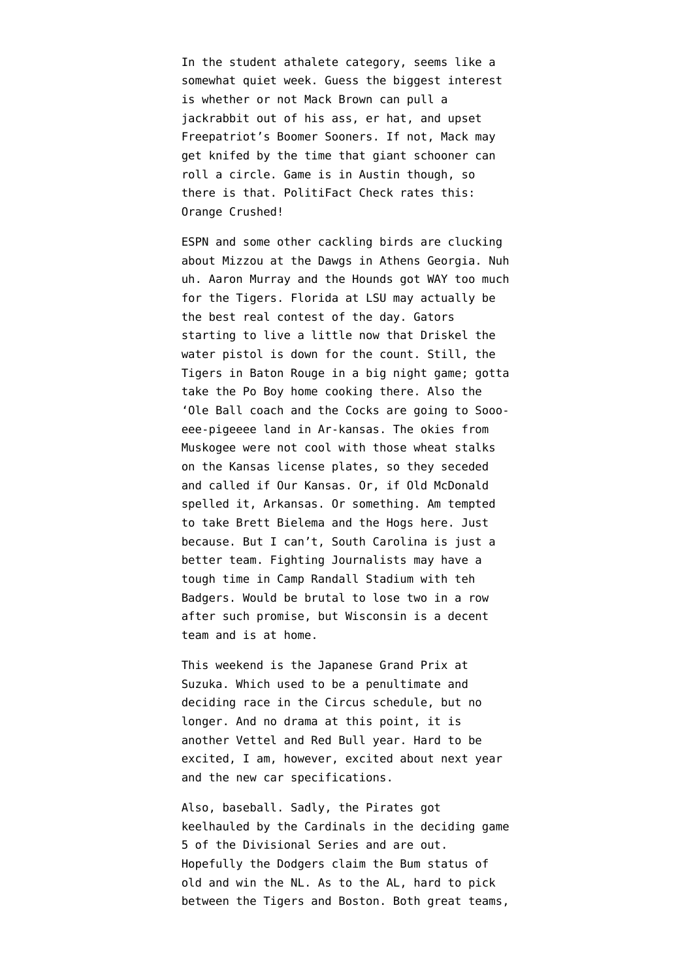In the student athalete category, seems like a somewhat quiet week. Guess the biggest interest is whether or not Mack Brown can pull a jackrabbit out of his ass, er hat, and upset Freepatriot's Boomer Sooners. If not, Mack may get knifed by the time that giant schooner can roll a circle. Game is in Austin though, so there is that. PolitiFact Check rates this: Orange Crushed!

ESPN and some other cackling birds are clucking about Mizzou at the Dawgs in Athens Georgia. Nuh uh. Aaron Murray and the Hounds got WAY too much for the Tigers. Florida at LSU may actually be the best real contest of the day. Gators starting to live a little now that Driskel the water pistol is down for the count. Still, the Tigers in Baton Rouge in a big night game; gotta take the Po Boy home cooking there. Also the 'Ole Ball coach and the Cocks are going to Soooeee-pigeeee land in Ar-kansas. The okies from Muskogee were not cool with those wheat stalks on the Kansas license plates, so they seceded and called if Our Kansas. Or, [if Old McDonald](http://www.youtube.com/watch?v=99WofNBVJlM) [spelled it,](http://www.youtube.com/watch?v=99WofNBVJlM) Arkansas. Or something. Am tempted to take Brett Bielema and the Hogs here. Just because. But I can't, South Carolina is just a better team. Fighting Journalists may have a tough time in Camp Randall Stadium with teh Badgers. Would be brutal to lose two in a row after such promise, but Wisconsin is a decent team and is at home.

This weekend is the [Japanese Grand Prix at](http://www.formula1.com/races/in_detail/japan_908/circuit_diagram.html) [Suzuka](http://www.formula1.com/races/in_detail/japan_908/circuit_diagram.html). Which used to be a penultimate and deciding race in the Circus schedule, but no longer. And no drama at this point, it is another Vettel and Red Bull year. Hard to be excited, I am, however, excited about next year and the new car specifications.

Also, baseball. Sadly, the Pirates got keelhauled by the Cardinals in the deciding game 5 of the Divisional Series and are out. Hopefully the Dodgers claim the Bum status of old and win the NL. As to the AL, hard to pick between the Tigers and Boston. Both great teams,